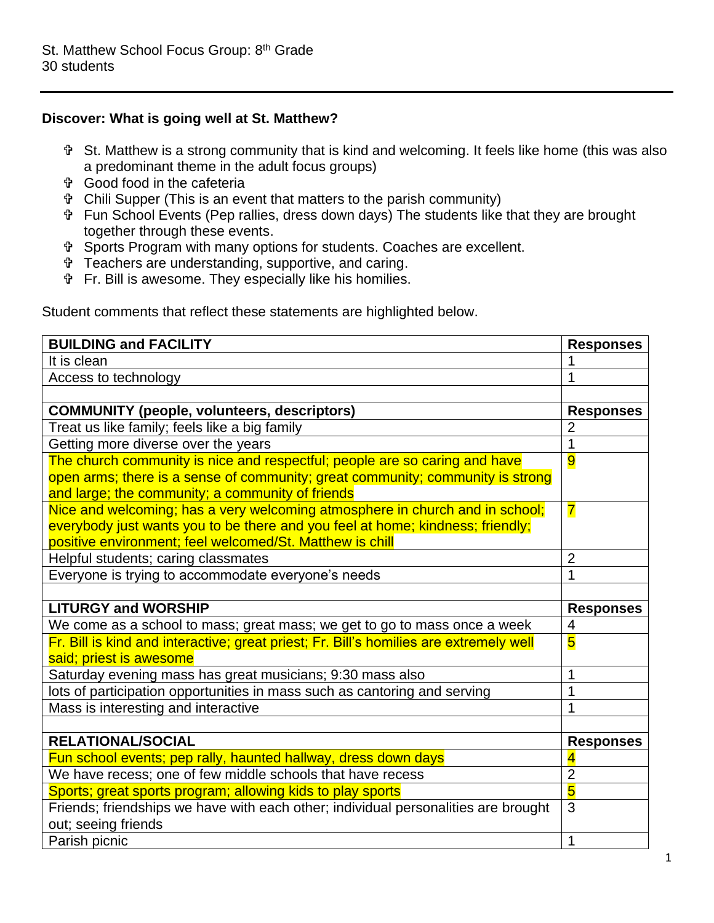## **Discover: What is going well at St. Matthew?**

- St. Matthew is a strong community that is kind and welcoming. It feels like home (this was also a predominant theme in the adult focus groups)
- Good food in the cafeteria
- Chili Supper (This is an event that matters to the parish community)
- Fun School Events (Pep rallies, dress down days) The students like that they are brought together through these events.
- Sports Program with many options for students. Coaches are excellent.
- Teachers are understanding, supportive, and caring.
- Fr. Bill is awesome. They especially like his homilies.

Student comments that reflect these statements are highlighted below.

| <b>BUILDING and FACILITY</b>                                                           | <b>Responses</b>        |
|----------------------------------------------------------------------------------------|-------------------------|
| It is clean                                                                            |                         |
| Access to technology                                                                   | 1                       |
|                                                                                        |                         |
| <b>COMMUNITY (people, volunteers, descriptors)</b>                                     | <b>Responses</b>        |
| Treat us like family; feels like a big family                                          | $\overline{2}$          |
| Getting more diverse over the years                                                    | $\overline{1}$          |
| The church community is nice and respectful; people are so caring and have             | $\overline{9}$          |
| open arms; there is a sense of community; great community; community is strong         |                         |
| and large; the community; a community of friends                                       |                         |
| Nice and welcoming; has a very welcoming atmosphere in church and in school;           | $\overline{\mathbf{7}}$ |
| everybody just wants you to be there and you feel at home; kindness; friendly;         |                         |
| positive environment; feel welcomed/St. Matthew is chill                               |                         |
| Helpful students; caring classmates                                                    | $\overline{2}$          |
| Everyone is trying to accommodate everyone's needs                                     | 1                       |
|                                                                                        |                         |
| <b>LITURGY and WORSHIP</b>                                                             | <b>Responses</b>        |
| We come as a school to mass; great mass; we get to go to mass once a week              | 4                       |
| Fr. Bill is kind and interactive; great priest; Fr. Bill's homilies are extremely well | $\overline{\mathbf{5}}$ |
| said; priest is awesome                                                                |                         |
| Saturday evening mass has great musicians; 9:30 mass also                              | 1                       |
| lots of participation opportunities in mass such as cantoring and serving              | 1                       |
| Mass is interesting and interactive                                                    | 1                       |
|                                                                                        |                         |
| <b>RELATIONAL/SOCIAL</b>                                                               | <b>Responses</b>        |
| Fun school events; pep rally, haunted hallway, dress down days                         | 4                       |
| We have recess; one of few middle schools that have recess                             | $\overline{2}$          |
| Sports; great sports program; allowing kids to play sports                             | $\overline{\bf{5}}$     |
| Friends; friendships we have with each other; individual personalities are brought     | 3                       |
| out; seeing friends                                                                    |                         |
| Parish picnic                                                                          | 1                       |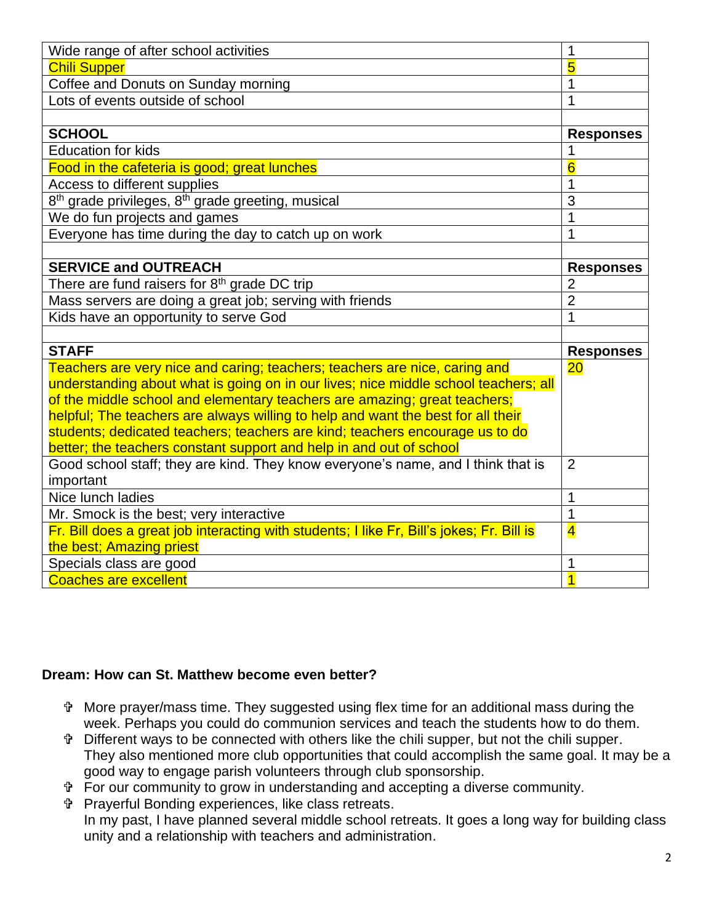| Wide range of after school activities                                                     | 1                       |
|-------------------------------------------------------------------------------------------|-------------------------|
| <b>Chili Supper</b>                                                                       | 5                       |
| Coffee and Donuts on Sunday morning                                                       | 1                       |
| Lots of events outside of school                                                          | 1                       |
|                                                                                           |                         |
| <b>SCHOOL</b>                                                                             | <b>Responses</b>        |
| <b>Education for kids</b>                                                                 | 1                       |
| Food in the cafeteria is good; great lunches                                              | 6                       |
| Access to different supplies                                                              | 1                       |
| 8 <sup>th</sup> grade privileges, 8 <sup>th</sup> grade greeting, musical                 | 3                       |
| We do fun projects and games                                                              | 1                       |
| Everyone has time during the day to catch up on work                                      | 1                       |
|                                                                                           |                         |
| <b>SERVICE and OUTREACH</b>                                                               | <b>Responses</b>        |
| There are fund raisers for $8th$ grade DC trip                                            | $\overline{2}$          |
| Mass servers are doing a great job; serving with friends                                  | $\overline{2}$          |
| Kids have an opportunity to serve God                                                     | 1                       |
|                                                                                           |                         |
| <b>STAFF</b>                                                                              | <b>Responses</b>        |
| Teachers are very nice and caring; teachers; teachers are nice, caring and                | 20                      |
| understanding about what is going on in our lives; nice middle school teachers; all       |                         |
| of the middle school and elementary teachers are amazing; great teachers;                 |                         |
| helpful; The teachers are always willing to help and want the best for all their          |                         |
| students; dedicated teachers; teachers are kind; teachers encourage us to do              |                         |
| better; the teachers constant support and help in and out of school                       |                         |
| Good school staff; they are kind. They know everyone's name, and I think that is          | $\overline{2}$          |
| important                                                                                 |                         |
| Nice lunch ladies                                                                         | 1                       |
| Mr. Smock is the best; very interactive                                                   | $\overline{1}$          |
| Fr. Bill does a great job interacting with students; I like Fr, Bill's jokes; Fr. Bill is | $\overline{\mathbf{4}}$ |
| the best; Amazing priest                                                                  |                         |
| Specials class are good                                                                   | 1                       |
| <b>Coaches are excellent</b>                                                              | $\overline{1}$          |

## **Dream: How can St. Matthew become even better?**

- More prayer/mass time. They suggested using flex time for an additional mass during the week. Perhaps you could do communion services and teach the students how to do them.
- Different ways to be connected with others like the chili supper, but not the chili supper. They also mentioned more club opportunities that could accomplish the same goal. It may be a good way to engage parish volunteers through club sponsorship.
- For our community to grow in understanding and accepting a diverse community.

 Prayerful Bonding experiences, like class retreats. In my past, I have planned several middle school retreats. It goes a long way for building class unity and a relationship with teachers and administration.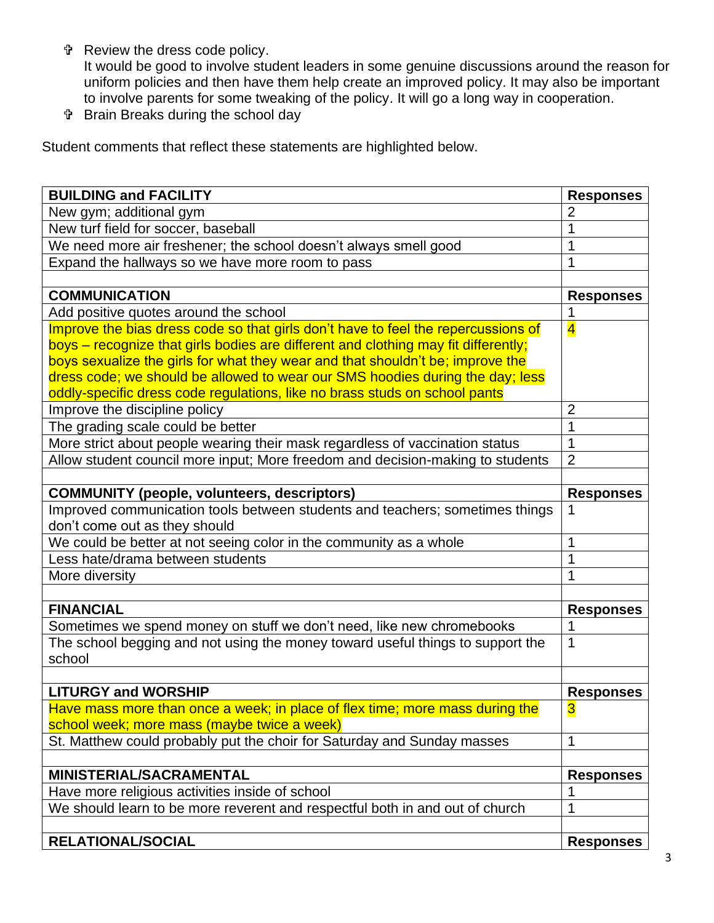Review the dress code policy.

It would be good to involve student leaders in some genuine discussions around the reason for uniform policies and then have them help create an improved policy. It may also be important to involve parents for some tweaking of the policy. It will go a long way in cooperation.

Brain Breaks during the school day

Student comments that reflect these statements are highlighted below.

| <b>BUILDING and FACILITY</b>                                                       | <b>Responses</b> |
|------------------------------------------------------------------------------------|------------------|
| New gym; additional gym                                                            | 2                |
| New turf field for soccer, baseball                                                |                  |
| We need more air freshener; the school doesn't always smell good                   | 1                |
| Expand the hallways so we have more room to pass                                   | 1                |
|                                                                                    |                  |
| <b>COMMUNICATION</b>                                                               | <b>Responses</b> |
| Add positive quotes around the school                                              | 1                |
| Improve the bias dress code so that girls don't have to feel the repercussions of  | $\overline{4}$   |
| boys – recognize that girls bodies are different and clothing may fit differently; |                  |
| boys sexualize the girls for what they wear and that shouldn't be; improve the     |                  |
| dress code; we should be allowed to wear our SMS hoodies during the day; less      |                  |
| oddly-specific dress code regulations, like no brass studs on school pants         |                  |
| Improve the discipline policy                                                      | $\overline{2}$   |
| The grading scale could be better                                                  | 1                |
| More strict about people wearing their mask regardless of vaccination status       | $\overline{1}$   |
| Allow student council more input; More freedom and decision-making to students     | 2                |
|                                                                                    |                  |
| <b>COMMUNITY (people, volunteers, descriptors)</b>                                 | <b>Responses</b> |
| Improved communication tools between students and teachers; sometimes things       |                  |
| don't come out as they should                                                      |                  |
| We could be better at not seeing color in the community as a whole                 | 1                |
| Less hate/drama between students                                                   | 1                |
| More diversity                                                                     |                  |
|                                                                                    |                  |
| <b>FINANCIAL</b>                                                                   | <b>Responses</b> |
| Sometimes we spend money on stuff we don't need, like new chromebooks              | 1                |
| The school begging and not using the money toward useful things to support the     | 1                |
| school                                                                             |                  |
|                                                                                    |                  |
| <b>LITURGY and WORSHIP</b>                                                         | <b>Responses</b> |
| Have mass more than once a week; in place of flex time; more mass during the       | 3                |
| school week; more mass (maybe twice a week)                                        |                  |
| St. Matthew could probably put the choir for Saturday and Sunday masses            | $\mathbf{1}$     |
|                                                                                    |                  |
| <b>MINISTERIAL/SACRAMENTAL</b>                                                     | <b>Responses</b> |
| Have more religious activities inside of school                                    |                  |
| We should learn to be more reverent and respectful both in and out of church       | 1                |
|                                                                                    |                  |
| <b>RELATIONAL/SOCIAL</b>                                                           | <b>Responses</b> |